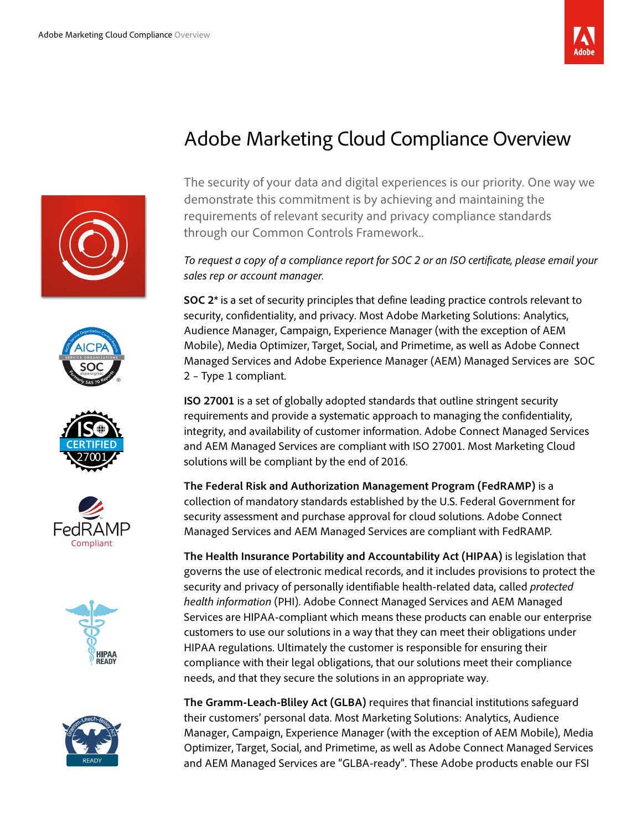













# Adobe Marketing Cloud Compliance Overview

The security of your data and digital experiences is our priority. One way we demonstrate this commitment is by achieving and maintaining the requirements of relevant security and privacy compliance standards through our Common Controls Framework..

*To request a copy of a compliance report for SOC 2 or* an *ISO* certificate, *please email your sales rep or account manager.* 

**SOC 2\*** is a set of security principles that define leading practice controls relevant to security, confidentiality, and privacy. Most Adobe Marketing Solutions: Analytics, Audience Manager, Campaign, Experience Manager (with the exception of AEM Mobile), Media Optimizer, Target, Social, and Primetime, as well as Adobe Connect Managed Services and Adobe Experience Manager (AEM) Managed Services are SOC 2 – Type 1 compliant.

**ISO 27001** is a set of globally adopted standards that outline stringent security requirements and provide a systematic approach to managing the confidentiality, integrity, and availability of customer information. Adobe Connect Managed Services and AEM Managed Services are compliant with ISO 27001. Most Marketing Cloud solutions will be compliant by the end of 2016.

**The Federal Risk and Authorization Management Program (FedRAMP)** is a collection of mandatory standards established by the U.S. Federal Government for security assessment and purchase approval for cloud solutions. Adobe Connect Managed Services and AEM Managed Services are compliant with FedRAMP.

**The Health Insurance Portability and Accountability Act (HIPAA)** is legislation that governs the use of electronic medical records, and it includes provisions to protect the security and privacy of personally identifiable health-related data, called *protected health information* (PHI). Adobe Connect Managed Services and AEM Managed Services are HIPAA-compliant which means these products can enable our enterprise customers to use our solutions in a way that they can meet their obligations under HIPAA regulations. Ultimately the customer is responsible for ensuring their compliance with their legal obligations, that our solutions meet their compliance needs, and that they secure the solutions in an appropriate way.

**The Gramm-Leach-Bliley Act (GLBA)** requires that financial institutions safeguard their customers' personal data. Most Marketing Solutions: Analytics, Audience Manager, Campaign, Experience Manager (with the exception of AEM Mobile), Media Optimizer, Target, Social, and Primetime, as well as Adobe Connect Managed Services and AEM Managed Services are "GLBA-ready". These Adobe products enable our FSI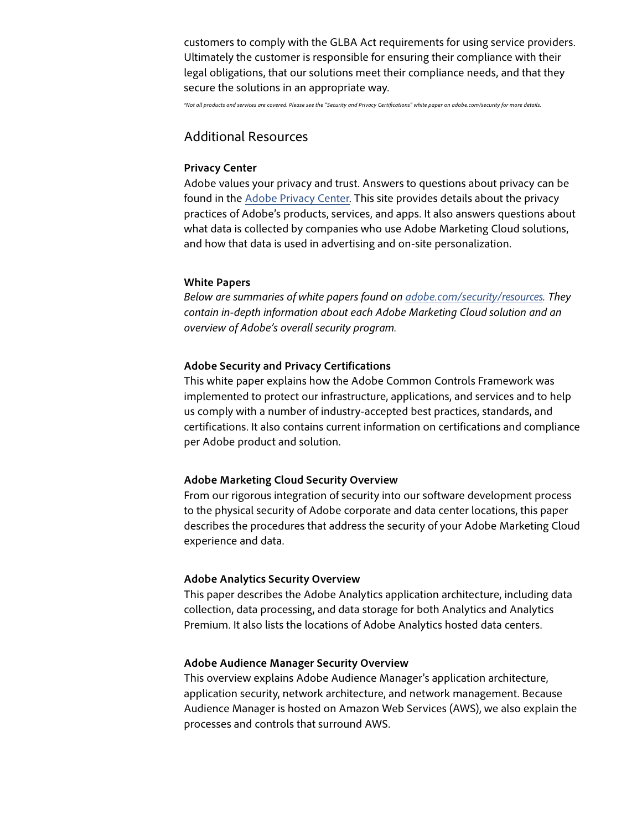customers to comply with the GLBA Act requirements for using service providers. Ultimately the customer is responsible for ensuring their compliance with their legal obligations, that our solutions meet their compliance needs, and that they secure the solutions in an appropriate way.

*\*Not all products and services are covered. Please see the "Security and Privacy Certifications" white paper on adobe.com/security for more details.*

## Additional Resources

## **Privacy Center**

Adobe values your privacy and trust. Answers to questions about privacy can be found in the [Adobe Privacy Center.](http://www.adobe.com/privacy.html) This site provides details about the privacy practices of Adobe's products, services, and apps. It also answers questions about what data is collected by companies who use Adobe Marketing Cloud solutions, and how that data is used in advertising and on-site personalization.

## **White Papers**

*Below are summaries of white papers found on [adobe.com/security](http://adobe.com/security/resources.html)*/resources*. They contain in-depth information about each Adobe Marketing Cloud* s*olution and an overview of Adobe's overall security program.* 

## **Adobe Security and Privacy Certifications**

This white paper explains how the Adobe Common Controls Framework was implemented to protect our infrastructure, applications, and services and to help us comply with a number of industry-accepted best practices, standards, and certifications. It also contains current information on certifications and compliance per Adobe product and solution.

## **Adobe Marketing Cloud Security Overview**

From our rigorous integration of security into our software development process to the physical security of Adobe corporate and data center locations, this paper describes the procedures that address the security of your Adobe Marketing Cloud experience and data.

## **Adobe Analytics Security Overview**

This paper describes the Adobe Analytics application architecture, including data collection, data processing, and data storage for both Analytics and Analytics Premium. It also lists the locations of Adobe Analytics hosted data centers.

## **Adobe Audience Manager Security Overview**

This overview explains Adobe Audience Manager's application architecture, application security, network architecture, and network management. Because Audience Manager is hosted on Amazon Web Services (AWS), we also explain the processes and controls that surround AWS.